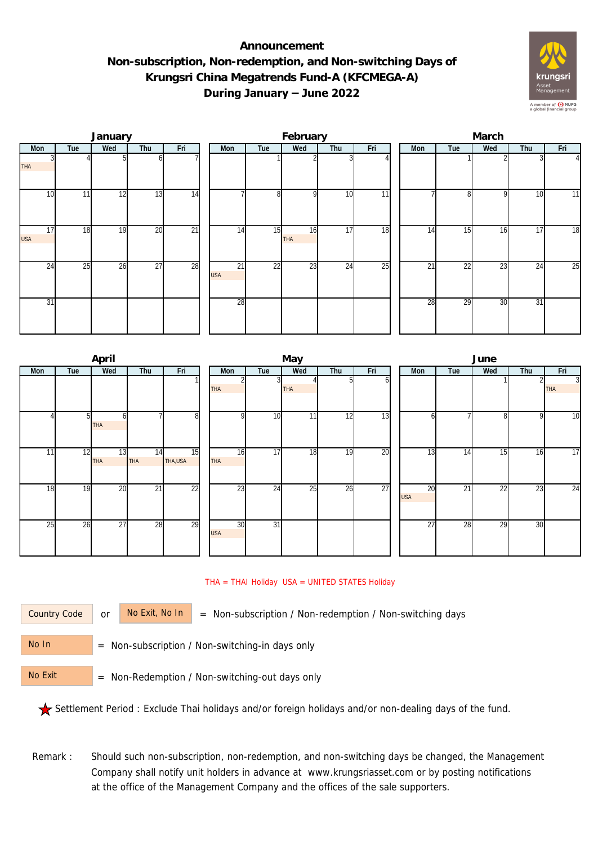## **Announcement Non-subscription, Non-redemption, and Non-switching Days of Krungsri China Megatrends Fund-A (KFCMEGA-A) During January – June 2022**



|                  |     | January |                 |                 |                               |                | February         |     |                 | March           |                 |     |     |                |  |  |
|------------------|-----|---------|-----------------|-----------------|-------------------------------|----------------|------------------|-----|-----------------|-----------------|-----------------|-----|-----|----------------|--|--|
| Mon              | Tue | Wed     | Thu             | Fri             | Mon                           | Tue            | Wed              | Thu | Fri             | Mon             | Tue             | Wed | Thu | Fri            |  |  |
| <b>THA</b>       |     |         |                 |                 |                               |                |                  |     |                 |                 |                 |     |     | $\overline{4}$ |  |  |
| 10 <sup>1</sup>  | 11  | 12      | $1\overline{3}$ | 14              |                               | 8 <sup>1</sup> | $\Omega$         | 10  | 11              |                 | 8               | 9   | 10  | 11             |  |  |
| 17<br><b>USA</b> | 18  | 19      | $\overline{20}$ | $\overline{21}$ | 14                            | 15             | 16<br><b>THA</b> | 17  | 18              | 14              | 15              | 16  | 17  | 18             |  |  |
| 24               | 25  | 26      | $\overline{27}$ | 28              | $\overline{21}$<br><b>USA</b> | 22             | 23               | 24  | $\overline{25}$ | $\overline{21}$ | $\overline{22}$ | 23  | 24  | 25             |  |  |
| 31               |     |         |                 |                 | 28                            |                |                  |     |                 | 28              | 29              | 30  | 31  |                |  |  |

|     |                | April           |                  |               |                  |                 | May        |                 |     | June |                  |     |                |     |                              |  |
|-----|----------------|-----------------|------------------|---------------|------------------|-----------------|------------|-----------------|-----|------|------------------|-----|----------------|-----|------------------------------|--|
| Mon | Tue            | Wed             | Thu              | Fri           | Mon              | Tue             | Wed        | Thu             | Fri |      | Mon              | Tue | Wed            | Thu | Fri                          |  |
|     |                |                 |                  |               | <b>THA</b>       |                 | <b>THA</b> |                 | ΩI  |      |                  |     |                |     | $\overline{3}$<br><b>THA</b> |  |
|     | 5 <sup>1</sup> | h<br><b>THA</b> |                  | 8             | $\Omega$         | 10              | 11         | $1\overline{2}$ | 13  |      | h                |     | 8 <sup>1</sup> | 9   | 10                           |  |
| 11  | 12             | 13<br>THA       | 14<br><b>THA</b> | 15<br>THA,USA | 16<br><b>THA</b> | 17              | 18         | 19              | 20  |      | 13               | 14  | 15             | 16  | 17                           |  |
| 18  | 19             | 20              | 21               | 22            | 23               | 24              | 25         | 26              | 27  |      | 20<br><b>USA</b> | 21  | 22             | 23  | 24                           |  |
| 25  | 26             | $\overline{27}$ | 28               | 29            | 30<br><b>USA</b> | $\overline{31}$ |            |                 |     |      | $\overline{27}$  | 28  | 29             | 30  |                              |  |

## THA = THAI Holiday USA = UNITED STATES Holiday

Country Code

or  $\overline{\phantom{a}}$  No Exit, No In  $\overline{\phantom{a}}$  = Non-subscription / Non-redemption / Non-switching days

 = Non-subscription / Non-switching-in days only No In

 = Non-Redemption / Non-switching-out days only No Exit

Settlement Period : Exclude Thai holidays and/or foreign holidays and/or non-dealing days of the fund.

Remark : Should such non-subscription, non-redemption, and non-switching days be changed, the Management Company shall notify unit holders in advance at www.krungsriasset.com or by posting notifications at the office of the Management Company and the offices of the sale supporters.